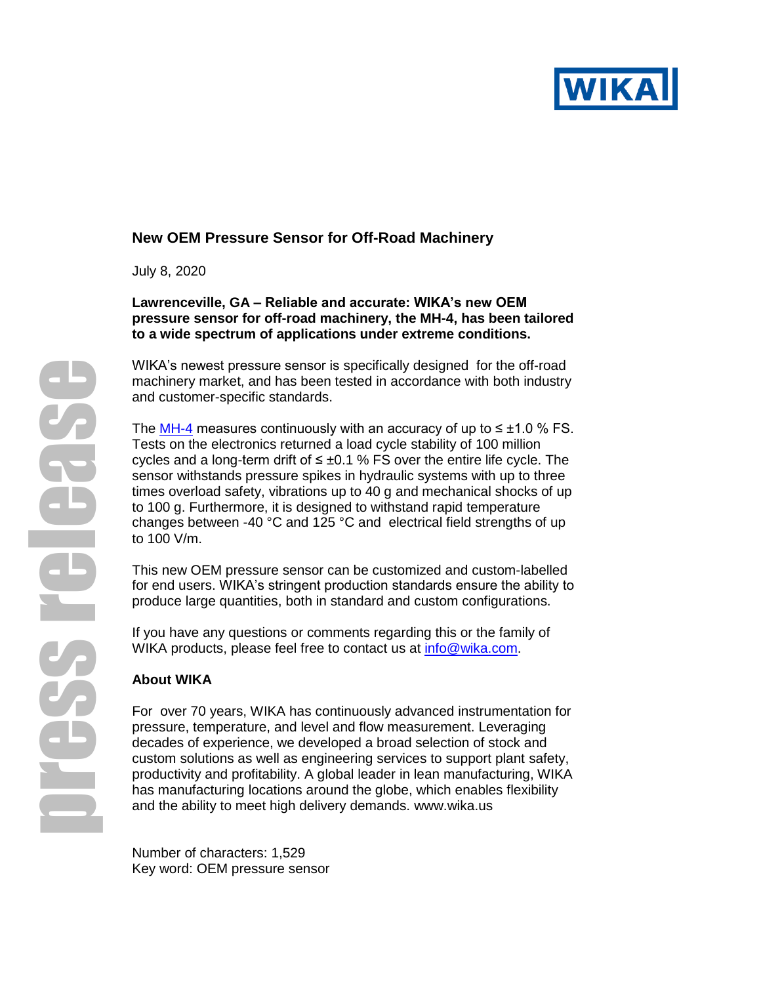

# **New OEM Pressure Sensor for Off-Road Machinery**

July 8, 2020

#### **Lawrenceville, GA – Reliable and accurate: WIKA's new OEM pressure sensor for off-road machinery, the MH-4, has been tailored to a wide spectrum of applications under extreme conditions.**

WIKA's newest pressure sensor is specifically designed for the off-road machinery market, and has been tested in accordance with both industry and customer-specific standards.

The [MH-4](https://www.wika.us/mh_4_en_co.WIKA) measures continuously with an accuracy of up to  $\leq \pm 1.0$  % FS. Tests on the electronics returned a load cycle stability of 100 million cycles and a long-term drift of  $\leq \pm 0.1$  % FS over the entire life cycle. The sensor withstands pressure spikes in hydraulic systems with up to three times overload safety, vibrations up to 40 g and mechanical shocks of up to 100 g. Furthermore, it is designed to withstand rapid temperature changes between -40 °C and 125 °C and electrical field strengths of up to 100 V/m.

This new OEM pressure sensor can be customized and custom-labelled for end users. WIKA's stringent production standards ensure the ability to produce large quantities, both in standard and custom configurations.

If you have any questions or comments regarding this or the family of WIKA products, please feel free to contact us at [info@wika.com.](mailto:info@wika.com)

## **About WIKA**

For over 70 years, WIKA has continuously advanced instrumentation for pressure, temperature, and level and flow measurement. Leveraging decades of experience, we developed a broad selection of stock and custom solutions as well as engineering services to support plant safety, productivity and profitability. A global leader in lean manufacturing, WIKA has manufacturing locations around the globe, which enables flexibility and the ability to meet high delivery demands. www.wika.us

Number of characters: 1,529 Key word: OEM pressure sensor